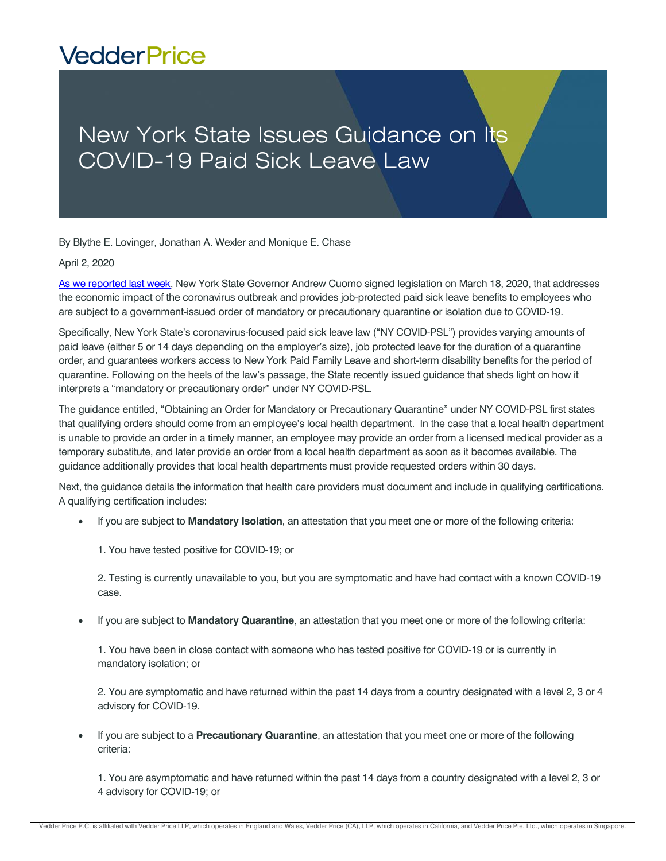## **VedderPrice**

## New York State Issues Guidance on Its COVID-19 Paid Sick Leave Law

By Blythe E. Lovinger, Jonathan A. Wexler and Monique E. Chase

## April 2, 2020

[As we reported last week,](http://www.vedderprice.com/new-york-state-issues-several-employer-mandates-amidst-covid-19-outbreak) New York State Governor Andrew Cuomo signed legislation on March 18, 2020, that addresses the economic impact of the coronavirus outbreak and provides job-protected paid sick leave benefits to employees who are subject to a government-issued order of mandatory or precautionary quarantine or isolation due to COVID-19.

Specifically, New York State's coronavirus-focused paid sick leave law ("NY COVID-PSL") provides varying amounts of paid leave (either 5 or 14 days depending on the employer's size), job protected leave for the duration of a quarantine order, and guarantees workers access to New York Paid Family Leave and short-term disability benefits for the period of quarantine. Following on the heels of the law's passage, the State recently issued guidance that sheds light on how it interprets a "mandatory or precautionary order" under NY COVID-PSL.

The guidance entitled, "Obtaining an Order for Mandatory or Precautionary Quarantine" under NY COVID-PSL first states that qualifying orders should come from an employee's local health department. In the case that a local health department is unable to provide an order in a timely manner, an employee may provide an order from a licensed medical provider as a temporary substitute, and later provide an order from a local health department as soon as it becomes available. The guidance additionally provides that local health departments must provide requested orders within 30 days.

Next, the guidance details the information that health care providers must document and include in qualifying certifications. A qualifying certification includes:

- If you are subject to **Mandatory Isolation**, an attestation that you meet one or more of the following criteria:
	- 1. You have tested positive for COVID-19; or

2. Testing is currently unavailable to you, but you are symptomatic and have had contact with a known COVID-19 case.

If you are subject to **Mandatory Quarantine**, an attestation that you meet one or more of the following criteria:

1. You have been in close contact with someone who has tested positive for COVID-19 or is currently in mandatory isolation; or

2. You are symptomatic and have returned within the past 14 days from a country designated with a level 2, 3 or 4 advisory for COVID-19.

 If you are subject to a **Precautionary Quarantine**, an attestation that you meet one or more of the following criteria:

1. You are asymptomatic and have returned within the past 14 days from a country designated with a level 2, 3 or 4 advisory for COVID-19; or